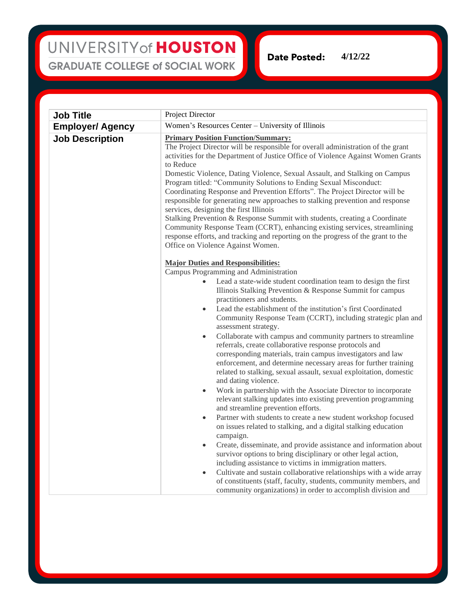## UNIVERSITY of HOUSTON **GRADUATE COLLEGE of SOCIAL WORK**

Date Posted: **4/12/22**

**Job Title** Project Director **Employer/ Agency** Women's Resources Center – University of Illinois **Job Description Primary Position Function/Summary:** The Project Director will be responsible for overall administration of the grant activities for the Department of Justice Office of Violence Against Women Grants to Reduce Domestic Violence, Dating Violence, Sexual Assault, and Stalking on Campus Program titled: "Community Solutions to Ending Sexual Misconduct: Coordinating Response and Prevention Efforts". The Project Director will be responsible for generating new approaches to stalking prevention and response services, designing the first Illinois Stalking Prevention & Response Summit with students, creating a Coordinate Community Response Team (CCRT), enhancing existing services, streamlining response efforts, and tracking and reporting on the progress of the grant to the Office on Violence Against Women. **Major Duties and Responsibilities:** Campus Programming and Administration Lead a state-wide student coordination team to design the first Illinois Stalking Prevention & Response Summit for campus practitioners and students. Lead the establishment of the institution's first Coordinated Community Response Team (CCRT), including strategic plan and assessment strategy. • Collaborate with campus and community partners to streamline referrals, create collaborative response protocols and corresponding materials, train campus investigators and law enforcement, and determine necessary areas for further training related to stalking, sexual assault, sexual exploitation, domestic and dating violence. • Work in partnership with the Associate Director to incorporate relevant stalking updates into existing prevention programming and streamline prevention efforts. Partner with students to create a new student workshop focused on issues related to stalking, and a digital stalking education campaign. • Create, disseminate, and provide assistance and information about survivor options to bring disciplinary or other legal action, including assistance to victims in immigration matters. • Cultivate and sustain collaborative relationships with a wide array of constituents (staff, faculty, students, community members, and community organizations) in order to accomplish division and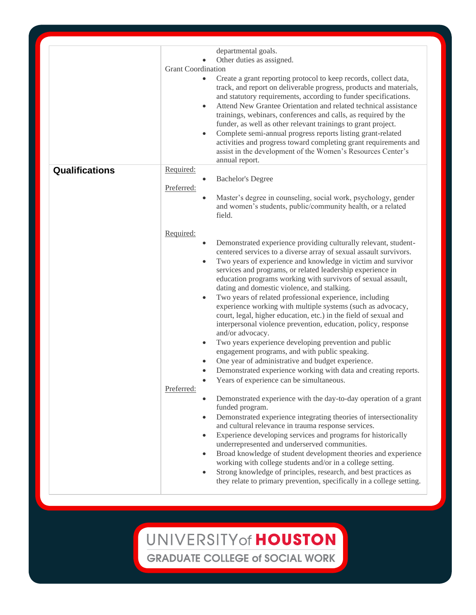|                       | departmental goals.                                                                                                                                                                                                                                                                                                                                                                                                                                                                                                                                                                                                                                           |
|-----------------------|---------------------------------------------------------------------------------------------------------------------------------------------------------------------------------------------------------------------------------------------------------------------------------------------------------------------------------------------------------------------------------------------------------------------------------------------------------------------------------------------------------------------------------------------------------------------------------------------------------------------------------------------------------------|
|                       | Other duties as assigned.                                                                                                                                                                                                                                                                                                                                                                                                                                                                                                                                                                                                                                     |
|                       | <b>Grant Coordination</b>                                                                                                                                                                                                                                                                                                                                                                                                                                                                                                                                                                                                                                     |
|                       | Create a grant reporting protocol to keep records, collect data,<br>track, and report on deliverable progress, products and materials,<br>and statutory requirements, according to funder specifications.<br>Attend New Grantee Orientation and related technical assistance<br>$\bullet$<br>trainings, webinars, conferences and calls, as required by the<br>funder, as well as other relevant trainings to grant project.<br>Complete semi-annual progress reports listing grant-related<br>$\bullet$<br>activities and progress toward completing grant requirements and<br>assist in the development of the Women's Resources Center's<br>annual report. |
| <b>Qualifications</b> | Required:                                                                                                                                                                                                                                                                                                                                                                                                                                                                                                                                                                                                                                                     |
|                       | <b>Bachelor's Degree</b>                                                                                                                                                                                                                                                                                                                                                                                                                                                                                                                                                                                                                                      |
|                       | Preferred:                                                                                                                                                                                                                                                                                                                                                                                                                                                                                                                                                                                                                                                    |
|                       | Master's degree in counseling, social work, psychology, gender<br>$\bullet$<br>and women's students, public/community health, or a related<br>field.                                                                                                                                                                                                                                                                                                                                                                                                                                                                                                          |
|                       | Required:                                                                                                                                                                                                                                                                                                                                                                                                                                                                                                                                                                                                                                                     |
|                       | Demonstrated experience providing culturally relevant, student-<br>$\bullet$                                                                                                                                                                                                                                                                                                                                                                                                                                                                                                                                                                                  |
|                       | centered services to a diverse array of sexual assault survivors.<br>Two years of experience and knowledge in victim and survivor                                                                                                                                                                                                                                                                                                                                                                                                                                                                                                                             |
|                       | services and programs, or related leadership experience in                                                                                                                                                                                                                                                                                                                                                                                                                                                                                                                                                                                                    |
|                       | education programs working with survivors of sexual assault,                                                                                                                                                                                                                                                                                                                                                                                                                                                                                                                                                                                                  |
|                       | dating and domestic violence, and stalking.                                                                                                                                                                                                                                                                                                                                                                                                                                                                                                                                                                                                                   |
|                       | Two years of related professional experience, including<br>$\bullet$                                                                                                                                                                                                                                                                                                                                                                                                                                                                                                                                                                                          |
|                       | experience working with multiple systems (such as advocacy,                                                                                                                                                                                                                                                                                                                                                                                                                                                                                                                                                                                                   |
|                       | court, legal, higher education, etc.) in the field of sexual and                                                                                                                                                                                                                                                                                                                                                                                                                                                                                                                                                                                              |
|                       | interpersonal violence prevention, education, policy, response<br>and/or advocacy.                                                                                                                                                                                                                                                                                                                                                                                                                                                                                                                                                                            |
|                       | Two years experience developing prevention and public<br>$\bullet$                                                                                                                                                                                                                                                                                                                                                                                                                                                                                                                                                                                            |
|                       | engagement programs, and with public speaking.                                                                                                                                                                                                                                                                                                                                                                                                                                                                                                                                                                                                                |
|                       | One year of administrative and budget experience.<br>$\bullet$                                                                                                                                                                                                                                                                                                                                                                                                                                                                                                                                                                                                |
|                       | Demonstrated experience working with data and creating reports.<br>$\bullet$                                                                                                                                                                                                                                                                                                                                                                                                                                                                                                                                                                                  |
|                       | Years of experience can be simultaneous.<br>$\bullet$                                                                                                                                                                                                                                                                                                                                                                                                                                                                                                                                                                                                         |
|                       | Preferred:                                                                                                                                                                                                                                                                                                                                                                                                                                                                                                                                                                                                                                                    |
|                       | Demonstrated experience with the day-to-day operation of a grant<br>funded program.                                                                                                                                                                                                                                                                                                                                                                                                                                                                                                                                                                           |
|                       | Demonstrated experience integrating theories of intersectionality<br>$\bullet$                                                                                                                                                                                                                                                                                                                                                                                                                                                                                                                                                                                |
|                       | and cultural relevance in trauma response services.                                                                                                                                                                                                                                                                                                                                                                                                                                                                                                                                                                                                           |
|                       | Experience developing services and programs for historically<br>$\bullet$<br>underrepresented and underserved communities.                                                                                                                                                                                                                                                                                                                                                                                                                                                                                                                                    |
|                       | Broad knowledge of student development theories and experience<br>$\bullet$                                                                                                                                                                                                                                                                                                                                                                                                                                                                                                                                                                                   |
|                       | working with college students and/or in a college setting.                                                                                                                                                                                                                                                                                                                                                                                                                                                                                                                                                                                                    |
|                       | Strong knowledge of principles, research, and best practices as<br>$\bullet$                                                                                                                                                                                                                                                                                                                                                                                                                                                                                                                                                                                  |
|                       | they relate to primary prevention, specifically in a college setting.                                                                                                                                                                                                                                                                                                                                                                                                                                                                                                                                                                                         |

## UNIVERSITY of HOUSTON

**GRADUATE COLLEGE of SOCIAL WORK**